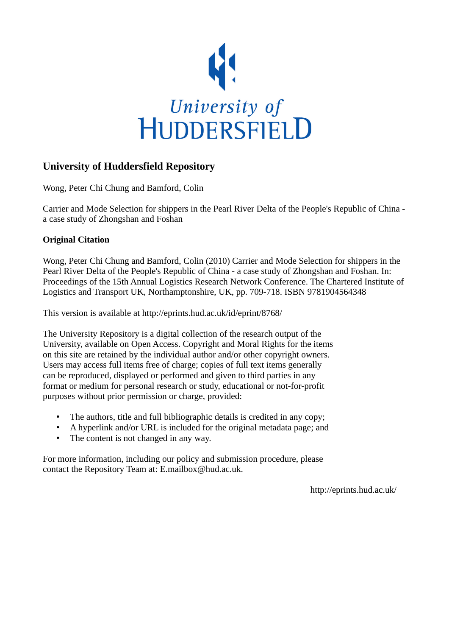

## **University of Huddersfield Repository**

Wong, Peter Chi Chung and Bamford, Colin

Carrier and Mode Selection for shippers in the Pearl River Delta of the People's Republic of China a case study of Zhongshan and Foshan

## **Original Citation**

Wong, Peter Chi Chung and Bamford, Colin (2010) Carrier and Mode Selection for shippers in the Pearl River Delta of the People's Republic of China - a case study of Zhongshan and Foshan. In: Proceedings of the 15th Annual Logistics Research Network Conference. The Chartered Institute of Logistics and Transport UK, Northamptonshire, UK, pp. 709-718. ISBN 9781904564348

This version is available at http://eprints.hud.ac.uk/id/eprint/8768/

The University Repository is a digital collection of the research output of the University, available on Open Access. Copyright and Moral Rights for the items on this site are retained by the individual author and/or other copyright owners. Users may access full items free of charge; copies of full text items generally can be reproduced, displayed or performed and given to third parties in any format or medium for personal research or study, educational or not-for-profit purposes without prior permission or charge, provided:

- The authors, title and full bibliographic details is credited in any copy;
- A hyperlink and/or URL is included for the original metadata page; and
- The content is not changed in any way.

For more information, including our policy and submission procedure, please contact the Repository Team at: E.mailbox@hud.ac.uk.

http://eprints.hud.ac.uk/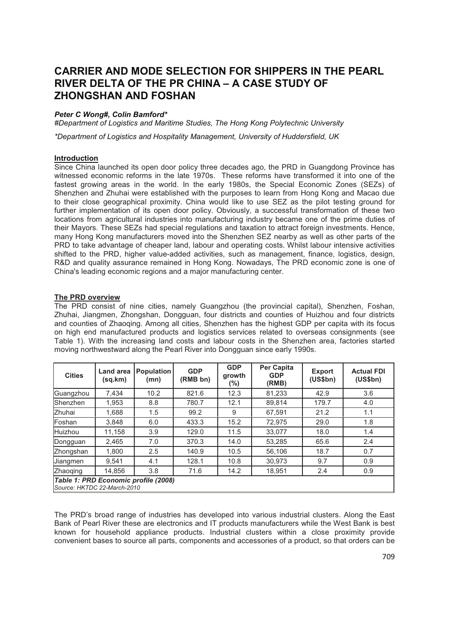# **CARRIER AND MODE SELECTION FOR SHIPPERS IN THE PEARL RIVER DELTA OF THE PR CHINA – A CASE STUDY OF ZHONGSHAN AND FOSHAN**

## *Peter C Wong#, Colin Bamford\**

*#Department of Logistics and Maritime Studies, The Hong Kong Polytechnic University*

*\*Department of Logistics and Hospitality Management, University of Huddersfield, UK*

## **Introduction**

Since China launched its open door policy three decades ago, the PRD in Guangdong Province has witnessed economic reforms in the late 1970s. These reforms have transformed it into one of the fastest growing areas in the world. In the early 1980s, the Special Economic Zones (SEZs) of Shenzhen and Zhuhai were established with the purposes to learn from Hong Kong and Macao due to their close geographical proximity. China would like to use SEZ as the pilot testing ground for further implementation of its open door policy. Obviously, a successful transformation of these two locations from agricultural industries into manufacturing industry became one of the prime duties of their Mayors. These SEZs had special regulations and taxation to attract foreign investments. Hence, many Hong Kong manufacturers moved into the Shenzhen SEZ nearby as well as other parts of the PRD to take advantage of cheaper land, labour and operating costs. Whilst labour intensive activities shifted to the PRD, higher value-added activities, such as management, finance, logistics, design, R&D and quality assurance remained in Hong Kong. Nowadays, The PRD economic zone is one of China's leading economic regions and a major manufacturing center.

#### **The PRD overview**

The PRD consist of nine cities, namely Guangzhou (the provincial capital), Shenzhen, Foshan, Zhuhai, Jiangmen, Zhongshan, Dongguan, four districts and counties of Huizhou and four districts and counties of Zhaoqing. Among all cities, Shenzhen has the highest GDP per capita with its focus on high end manufactured products and logistics services related to overseas consignments (see Table 1). With the increasing land costs and labour costs in the Shenzhen area, factories started moving northwestward along the Pearl River into Dongguan since early 1990s.

| <b>Cities</b>                                                       | <b>Land area</b><br>(sq, km) | <b>Population</b><br>(mn) | <b>GDP</b><br>(RMB bn) | <b>GDP</b><br>growth<br>(%) | Per Capita<br><b>GDP</b><br>(RMB) | <b>Export</b><br>(US\$bn) | <b>Actual FDI</b><br>(US\$bn) |
|---------------------------------------------------------------------|------------------------------|---------------------------|------------------------|-----------------------------|-----------------------------------|---------------------------|-------------------------------|
| Guangzhou                                                           | 7.434                        | 10.2                      | 821.6                  | 12.3                        | 81.233                            | 42.9                      | 3.6                           |
| Shenzhen                                                            | 1.953                        | 8.8                       | 780.7                  | 12.1                        | 89.814                            | 179.7                     | 4.0                           |
| Zhuhai                                                              | 1.688                        | 1.5                       | 99.2                   | 9                           | 67.591                            | 21.2                      | 1.1                           |
| Foshan                                                              | 3.848                        | 6.0                       | 433.3                  | 15.2                        | 72.975                            | 29.0                      | 1.8                           |
| Huizhou                                                             | 11,158                       | 3.9                       | 129.0                  | 11.5                        | 33.077                            | 18.0                      | 1.4                           |
| Dongguan                                                            | 2.465                        | 7.0                       | 370.3                  | 14.0                        | 53.285                            | 65.6                      | 2.4                           |
| Zhongshan                                                           | 1.800                        | 2.5                       | 140.9                  | 10.5                        | 56.106                            | 18.7                      | 0.7                           |
| Jiangmen                                                            | 9.541                        | 4.1                       | 128.1                  | 10.8                        | 30.973                            | 9.7                       | 0.9                           |
| Zhaoqing                                                            | 14,856                       | 3.8                       | 71.6                   | 14.2                        | 18,951                            | 2.4                       | 0.9                           |
| Table 1: PRD Economic profile (2008)<br>Source: HKTDC 22-March-2010 |                              |                           |                        |                             |                                   |                           |                               |

The PRD's broad range of industries has developed into various industrial clusters. Along the East Bank of Pearl River these are electronics and IT products manufacturers while the West Bank is best known for household appliance products. Industrial clusters within a close proximity provide convenient bases to source all parts, components and accessories of a product, so that orders can be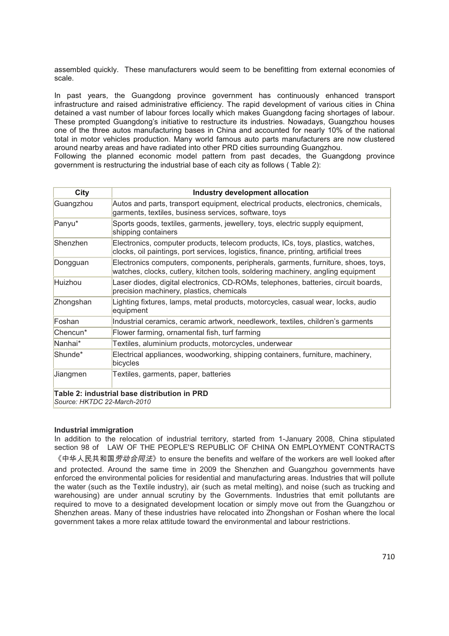assembled quickly. These manufacturers would seem to be benefitting from external economies of scale.

In past years, the Guangdong province government has continuously enhanced transport infrastructure and raised administrative efficiency. The rapid development of various cities in China detained a vast number of labour forces locally which makes Guangdong facing shortages of labour. These prompted Guangdong's initiative to restructure its industries. Nowadays, Guangzhou houses one of the three autos manufacturing bases in China and accounted for nearly 10% of the national total in motor vehicles production. Many world famous auto parts manufacturers are now clustered around nearby areas and have radiated into other PRD cities surrounding Guangzhou.

Following the planned economic model pattern from past decades, the Guangdong province government is restructuring the industrial base of each city as follows ( Table 2):

| City                        | Industry development allocation                                                                                                                                         |  |
|-----------------------------|-------------------------------------------------------------------------------------------------------------------------------------------------------------------------|--|
| Guangzhou                   | Autos and parts, transport equipment, electrical products, electronics, chemicals,<br>garments, textiles, business services, software, toys                             |  |
| Panyu*                      | Sports goods, textiles, garments, jewellery, toys, electric supply equipment,<br>shipping containers                                                                    |  |
| Shenzhen                    | Electronics, computer products, telecom products, ICs, toys, plastics, watches,<br>clocks, oil paintings, port services, logistics, finance, printing, artificial trees |  |
| Dongguan                    | Electronics computers, components, peripherals, garments, furniture, shoes, toys,<br>watches, clocks, cutlery, kitchen tools, soldering machinery, angling equipment    |  |
| Huizhou                     | Laser diodes, digital electronics, CD-ROMs, telephones, batteries, circuit boards,<br>precision machinery, plastics, chemicals                                          |  |
| Zhongshan                   | Lighting fixtures, lamps, metal products, motorcycles, casual wear, locks, audio<br>equipment                                                                           |  |
| Foshan                      | Industrial ceramics, ceramic artwork, needlework, textiles, children's garments                                                                                         |  |
| Chencun*                    | Flower farming, ornamental fish, turf farming                                                                                                                           |  |
| Nanhai*                     | Textiles, aluminium products, motorcycles, underwear                                                                                                                    |  |
| Shunde*                     | Electrical appliances, woodworking, shipping containers, furniture, machinery,<br>bicycles                                                                              |  |
| Jiangmen                    | Textiles, garments, paper, batteries                                                                                                                                    |  |
| Source: HKTDC 22-March-2010 | Table 2: industrial base distribution in PRD                                                                                                                            |  |

#### **Industrial immigration**

In addition to the relocation of industrial territory, started from 1-January 2008, China stipulated section 98 of LAW OF THE PEOPLE'S REPUBLIC OF CHINA ON EMPLOYMENT CONTRACTS

《中华人民共和国*劳动合同法*》to ensure the benefits and welfare of the workers are well looked after and protected. Around the same time in 2009 the Shenzhen and Guangzhou governments have enforced the environmental policies for residential and manufacturing areas. Industries that will pollute the water (such as the Textile industry), air (such as metal melting), and noise (such as trucking and warehousing) are under annual scrutiny by the Governments. Industries that emit pollutants are required to move to a designated development location or simply move out from the Guangzhou or Shenzhen areas. Many of these industries have relocated into Zhongshan or Foshan where the local government takes a more relax attitude toward the environmental and labour restrictions.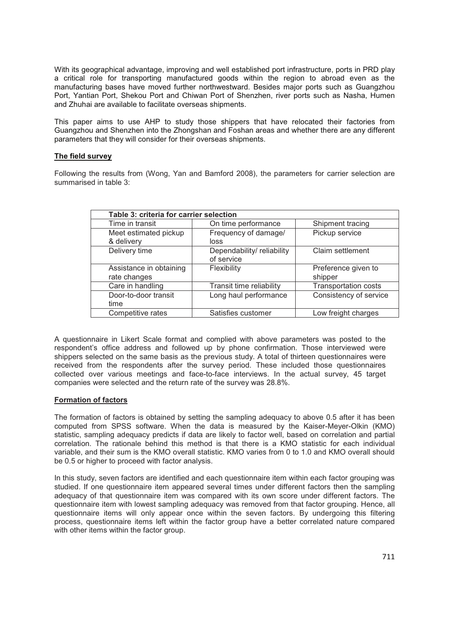With its geographical advantage, improving and well established port infrastructure, ports in PRD play a critical role for transporting manufactured goods within the region to abroad even as the manufacturing bases have moved further northwestward. Besides major ports such as Guangzhou Port, Yantian Port, Shekou Port and Chiwan Port of Shenzhen, river ports such as Nasha, Humen and Zhuhai are available to facilitate overseas shipments.

This paper aims to use AHP to study those shippers that have relocated their factories from Guangzhou and Shenzhen into the Zhongshan and Foshan areas and whether there are any different parameters that they will consider for their overseas shipments.

#### **The field survey**

Following the results from (Wong, Yan and Bamford 2008), the parameters for carrier selection are summarised in table 3:

| Table 3: criteria for carrier selection |                           |                             |  |  |  |
|-----------------------------------------|---------------------------|-----------------------------|--|--|--|
| Time in transit                         | On time performance       | Shipment tracing            |  |  |  |
| Meet estimated pickup                   | Frequency of damage/      | Pickup service              |  |  |  |
| & delivery                              | loss                      |                             |  |  |  |
| Delivery time                           | Dependability/reliability | Claim settlement            |  |  |  |
|                                         | of service                |                             |  |  |  |
| Assistance in obtaining                 | Flexibility               | Preference given to         |  |  |  |
| rate changes                            |                           | shipper                     |  |  |  |
| Care in handling                        | Transit time reliability  | <b>Transportation costs</b> |  |  |  |
| Door-to-door transit                    | Long haul performance     | Consistency of service      |  |  |  |
| time                                    |                           |                             |  |  |  |
| Competitive rates                       | Satisfies customer        | Low freight charges         |  |  |  |

A questionnaire in Likert Scale format and complied with above parameters was posted to the respondent's office address and followed up by phone confirmation. Those interviewed were shippers selected on the same basis as the previous study. A total of thirteen questionnaires were received from the respondents after the survey period. These included those questionnaires collected over various meetings and face-to-face interviews. In the actual survey, 45 target companies were selected and the return rate of the survey was 28.8%.

#### **Formation of factors**

The formation of factors is obtained by setting the sampling adequacy to above 0.5 after it has been computed from SPSS software. When the data is measured by the Kaiser-Meyer-Olkin (KMO) statistic, sampling adequacy predicts if data are likely to factor well, based on correlation and partial correlation. The rationale behind this method is that there is a KMO statistic for each individual variable, and their sum is the KMO overall statistic. KMO varies from 0 to 1.0 and KMO overall should be 0.5 or higher to proceed with factor analysis.

In this study, seven factors are identified and each questionnaire item within each factor grouping was studied. If one questionnaire item appeared several times under different factors then the sampling adequacy of that questionnaire item was compared with its own score under different factors. The questionnaire item with lowest sampling adequacy was removed from that factor grouping. Hence, all questionnaire items will only appear once within the seven factors. By undergoing this filtering process, questionnaire items left within the factor group have a better correlated nature compared with other items within the factor group.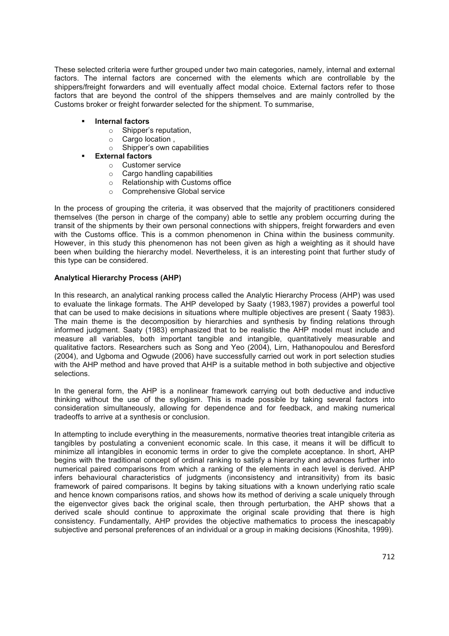These selected criteria were further grouped under two main categories, namely, internal and external factors. The internal factors are concerned with the elements which are controllable by the shippers/freight forwarders and will eventually affect modal choice. External factors refer to those factors that are beyond the control of the shippers themselves and are mainly controlled by the Customs broker or freight forwarder selected for the shipment. To summarise,

- **Internal factors**
	- o Shipper's reputation,
	- o Cargo location ,
	- o Shipper's own capabilities
	- **External factors**
		- o Customer service
		- o Cargo handling capabilities
		- o Relationship with Customs office
		- o Comprehensive Global service

In the process of grouping the criteria, it was observed that the majority of practitioners considered themselves (the person in charge of the company) able to settle any problem occurring during the transit of the shipments by their own personal connections with shippers, freight forwarders and even with the Customs office. This is a common phenomenon in China within the business community. However, in this study this phenomenon has not been given as high a weighting as it should have been when building the hierarchy model. Nevertheless, it is an interesting point that further study of this type can be considered.

## **Analytical Hierarchy Process (AHP)**

In this research, an analytical ranking process called the Analytic Hierarchy Process (AHP) was used to evaluate the linkage formats. The AHP developed by Saaty (1983,1987) provides a powerful tool that can be used to make decisions in situations where multiple objectives are present ( Saaty 1983). The main theme is the decomposition by hierarchies and synthesis by finding relations through informed judgment. Saaty (1983) emphasized that to be realistic the AHP model must include and measure all variables, both important tangible and intangible, quantitatively measurable and qualitative factors. Researchers such as Song and Yeo (2004), Lirn, Hathanopoulou and Beresford (2004), and Ugboma and Ogwude (2006) have successfully carried out work in port selection studies with the AHP method and have proved that AHP is a suitable method in both subjective and objective selections.

In the general form, the AHP is a nonlinear framework carrying out both deductive and inductive thinking without the use of the syllogism. This is made possible by taking several factors into consideration simultaneously, allowing for dependence and for feedback, and making numerical tradeoffs to arrive at a synthesis or conclusion.

In attempting to include everything in the measurements, normative theories treat intangible criteria as tangibles by postulating a convenient economic scale. In this case, it means it will be difficult to minimize all intangibles in economic terms in order to give the complete acceptance. In short, AHP begins with the traditional concept of ordinal ranking to satisfy a hierarchy and advances further into numerical paired comparisons from which a ranking of the elements in each level is derived. AHP infers behavioural characteristics of judgments (inconsistency and intransitivity) from its basic framework of paired comparisons. It begins by taking situations with a known underlying ratio scale and hence known comparisons ratios, and shows how its method of deriving a scale uniquely through the eigenvector gives back the original scale, then through perturbation, the AHP shows that a derived scale should continue to approximate the original scale providing that there is high consistency. Fundamentally, AHP provides the objective mathematics to process the inescapably subjective and personal preferences of an individual or a group in making decisions (Kinoshita, 1999).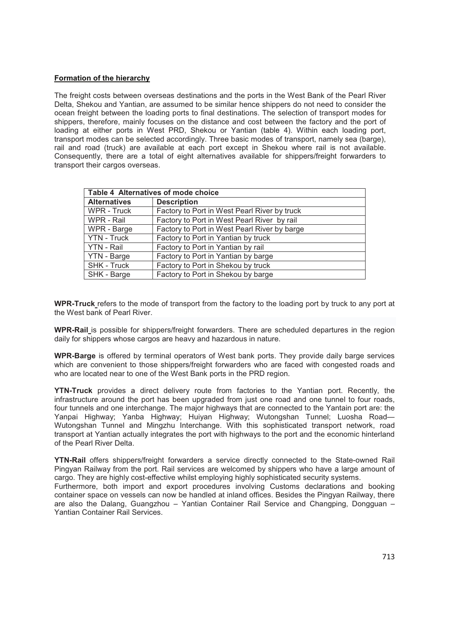## **Formation of the hierarchy**

The freight costs between overseas destinations and the ports in the West Bank of the Pearl River Delta, Shekou and Yantian, are assumed to be similar hence shippers do not need to consider the ocean freight between the loading ports to final destinations. The selection of transport modes for shippers, therefore, mainly focuses on the distance and cost between the factory and the port of loading at either ports in West PRD, Shekou or Yantian (table 4). Within each loading port, transport modes can be selected accordingly. Three basic modes of transport, namely sea (barge), rail and road (truck) are available at each port except in Shekou where rail is not available. Consequently, there are a total of eight alternatives available for shippers/freight forwarders to transport their cargos overseas.

| Table 4 Alternatives of mode choice |                                              |  |  |
|-------------------------------------|----------------------------------------------|--|--|
| <b>Alternatives</b>                 | <b>Description</b>                           |  |  |
| WPR - Truck                         | Factory to Port in West Pearl River by truck |  |  |
| WPR - Rail                          | Factory to Port in West Pearl River by rail  |  |  |
| WPR - Barge                         | Factory to Port in West Pearl River by barge |  |  |
| <b>YTN - Truck</b>                  | Factory to Port in Yantian by truck          |  |  |
| YTN - Rail                          | Factory to Port in Yantian by rail           |  |  |
| YTN - Barge                         | Factory to Port in Yantian by barge          |  |  |
| SHK - Truck                         | Factory to Port in Shekou by truck           |  |  |
| SHK - Barge                         | Factory to Port in Shekou by barge           |  |  |

**WPR-Truck** refers to the mode of transport from the factory to the loading port by truck to any port at the West bank of Pearl River.

**WPR-Rail** is possible for shippers/freight forwarders. There are scheduled departures in the region daily for shippers whose cargos are heavy and hazardous in nature.

**WPR-Barge** is offered by terminal operators of West bank ports. They provide daily barge services which are convenient to those shippers/freight forwarders who are faced with congested roads and who are located near to one of the West Bank ports in the PRD region.

**YTN-Truck** provides a direct delivery route from factories to the Yantian port. Recently, the infrastructure around the port has been upgraded from just one road and one tunnel to four roads, four tunnels and one interchange. The major highways that are connected to the Yantain port are: the Yanpai Highway; Yanba Highway; Huiyan Highway; Wutongshan Tunnel; Luosha Road— Wutongshan Tunnel and Mingzhu Interchange. With this sophisticated transport network, road transport at Yantian actually integrates the port with highways to the port and the economic hinterland of the Pearl River Delta.

**YTN-Rail** offers shippers/freight forwarders a service directly connected to the State-owned Rail Pingyan Railway from the port. Rail services are welcomed by shippers who have a large amount of cargo. They are highly cost-effective whilst employing highly sophisticated security systems.

Furthermore, both import and export procedures involving Customs declarations and booking container space on vessels can now be handled at inland offices. Besides the Pingyan Railway, there are also the Dalang, Guangzhou – Yantian Container Rail Service and Changping, Dongguan – Yantian Container Rail Services.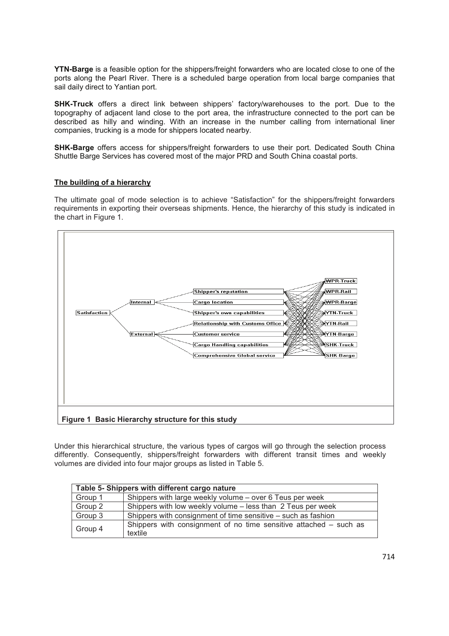**YTN-Barge** is a feasible option for the shippers/freight forwarders who are located close to one of the ports along the Pearl River. There is a scheduled barge operation from local barge companies that sail daily direct to Yantian port.

**SHK-Truck** offers a direct link between shippers' factory/warehouses to the port. Due to the topography of adjacent land close to the port area, the infrastructure connected to the port can be described as hilly and winding. With an increase in the number calling from international liner companies, trucking is a mode for shippers located nearby.

**SHK-Barge** offers access for shippers/freight forwarders to use their port. Dedicated South China Shuttle Barge Services has covered most of the major PRD and South China coastal ports.

#### **The building of a hierarchy**

The ultimate goal of mode selection is to achieve "Satisfaction" for the shippers/freight forwarders requirements in exporting their overseas shipments. Hence, the hierarchy of this study is indicated in the chart in Figure 1.



Under this hierarchical structure, the various types of cargos will go through the selection process differently. Consequently, shippers/freight forwarders with different transit times and weekly volumes are divided into four major groups as listed in Table 5.

| Table 5- Shippers with different cargo nature |                                                                              |  |  |
|-----------------------------------------------|------------------------------------------------------------------------------|--|--|
| Group 1                                       | Shippers with large weekly volume - over 6 Teus per week                     |  |  |
| Group 2                                       | Shippers with low weekly volume – less than 2 Teus per week                  |  |  |
| Group 3                                       | Shippers with consignment of time sensitive – such as fashion                |  |  |
| Group 4                                       | Shippers with consignment of no time sensitive attached – such as<br>textile |  |  |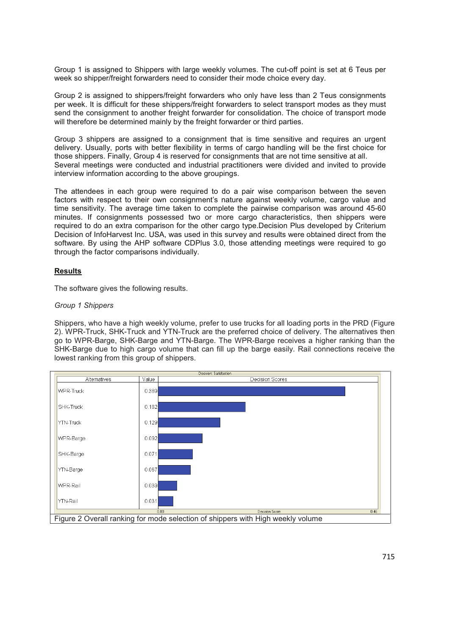Group 1 is assigned to Shippers with large weekly volumes. The cut-off point is set at 6 Teus per week so shipper/freight forwarders need to consider their mode choice every day.

Group 2 is assigned to shippers/freight forwarders who only have less than 2 Teus consignments per week. It is difficult for these shippers/freight forwarders to select transport modes as they must send the consignment to another freight forwarder for consolidation. The choice of transport mode will therefore be determined mainly by the freight forwarder or third parties.

Group 3 shippers are assigned to a consignment that is time sensitive and requires an urgent delivery. Usually, ports with better flexibility in terms of cargo handling will be the first choice for those shippers. Finally, Group 4 is reserved for consignments that are not time sensitive at all. Several meetings were conducted and industrial practitioners were divided and invited to provide interview information according to the above groupings.

The attendees in each group were required to do a pair wise comparison between the seven factors with respect to their own consignment's nature against weekly volume, cargo value and time sensitivity. The average time taken to complete the pairwise comparison was around 45-60 minutes. If consignments possessed two or more cargo characteristics, then shippers were required to do an extra comparison for the other cargo type.Decision Plus developed by Criterium Decision of InfoHarvest Inc. USA, was used in this survey and results were obtained direct from the software. By using the AHP software CDPlus 3.0, those attending meetings were required to go through the factor comparisons individually.

## **Results**

The software gives the following results.

#### *Group 1 Shippers*

Shippers, who have a high weekly volume, prefer to use trucks for all loading ports in the PRD (Figure 2). WPR-Truck, SHK-Truck and YTN-Truck are the preferred choice of delivery. The alternatives then go to WPR-Barge, SHK-Barge and YTN-Barge. The WPR-Barge receives a higher ranking than the SHK-Barge due to high cargo volume that can fill up the barge easily. Rail connections receive the lowest ranking from this group of shippers.

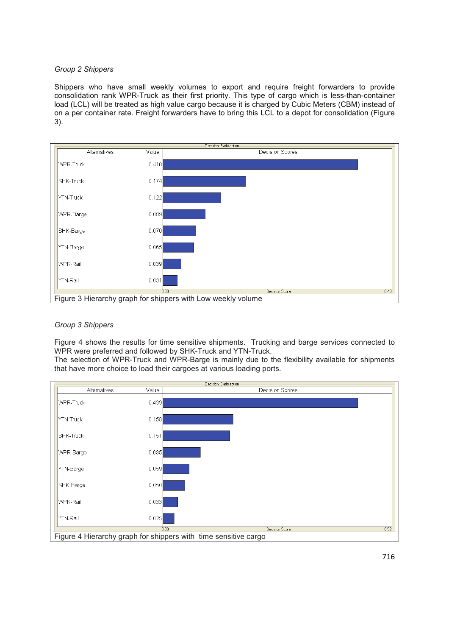#### *Group 2 Shippers*

Shippers who have small weekly volumes to export and require freight forwarders to provide consolidation rank WPR-Truck as their first priority. This type of cargo which is less-than-container load (LCL) will be treated as high value cargo because it is charged by Cubic Meters (CBM) instead of on a per container rate. Freight forwarders have to bring this LCL to a depot for consolidation (Figure 3).



## *Group 3 Shippers*

Figure 4 shows the results for time sensitive shipments. Trucking and barge services connected to WPR were preferred and followed by SHK-Truck and YTN-Truck.

The selection of WPR-Truck and WPR-Barge is mainly due to the flexibility available for shipments that have more choice to load their cargoes at various loading ports.

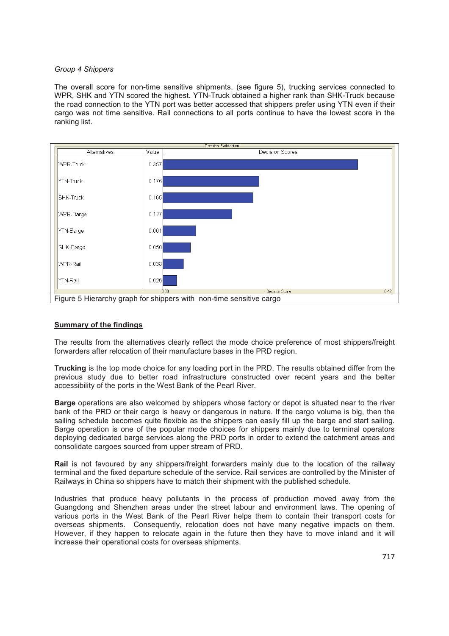#### *Group 4 Shippers*

The overall score for non-time sensitive shipments, (see figure 5), trucking services connected to WPR, SHK and YTN scored the highest. YTN-Truck obtained a higher rank than SHK-Truck because the road connection to the YTN port was better accessed that shippers prefer using YTN even if their cargo was not time sensitive. Rail connections to all ports continue to have the lowest score in the ranking list.



## **Summary of the findings**

The results from the alternatives clearly reflect the mode choice preference of most shippers/freight forwarders after relocation of their manufacture bases in the PRD region.

**Trucking** is the top mode choice for any loading port in the PRD. The results obtained differ from the previous study due to better road infrastructure constructed over recent years and the belter accessibility of the ports in the West Bank of the Pearl River.

**Barge** operations are also welcomed by shippers whose factory or depot is situated near to the river bank of the PRD or their cargo is heavy or dangerous in nature. If the cargo volume is big, then the sailing schedule becomes quite flexible as the shippers can easily fill up the barge and start sailing. Barge operation is one of the popular mode choices for shippers mainly due to terminal operators deploying dedicated barge services along the PRD ports in order to extend the catchment areas and consolidate cargoes sourced from upper stream of PRD.

**Rail** is not favoured by any shippers/freight forwarders mainly due to the location of the railway terminal and the fixed departure schedule of the service. Rail services are controlled by the Minister of Railways in China so shippers have to match their shipment with the published schedule.

Industries that produce heavy pollutants in the process of production moved away from the Guangdong and Shenzhen areas under the street labour and environment laws. The opening of various ports in the West Bank of the Pearl River helps them to contain their transport costs for overseas shipments. Consequently, relocation does not have many negative impacts on them. However, if they happen to relocate again in the future then they have to move inland and it will increase their operational costs for overseas shipments.